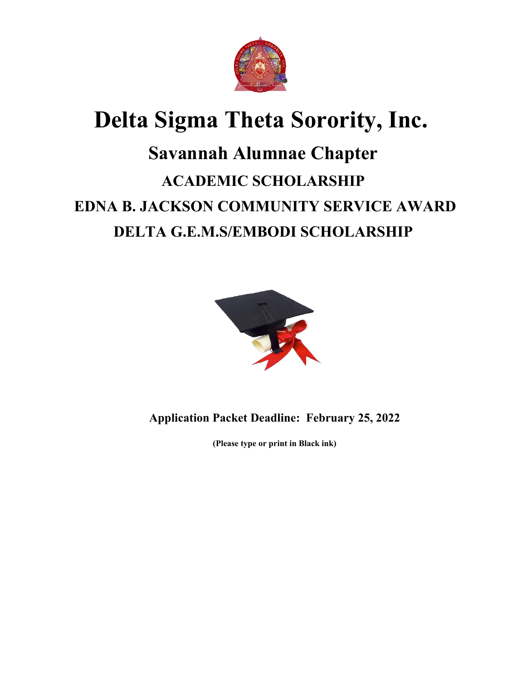

# **Delta Sigma Theta Sorority, Inc. Savannah Alumnae Chapter ACADEMIC SCHOLARSHIP EDNA B. JACKSON COMMUNITY SERVICE AWARD DELTA G.E.M.S/EMBODI SCHOLARSHIP**



**Application Packet Deadline: February 25, 2022**

**(Please type or print in Black ink)**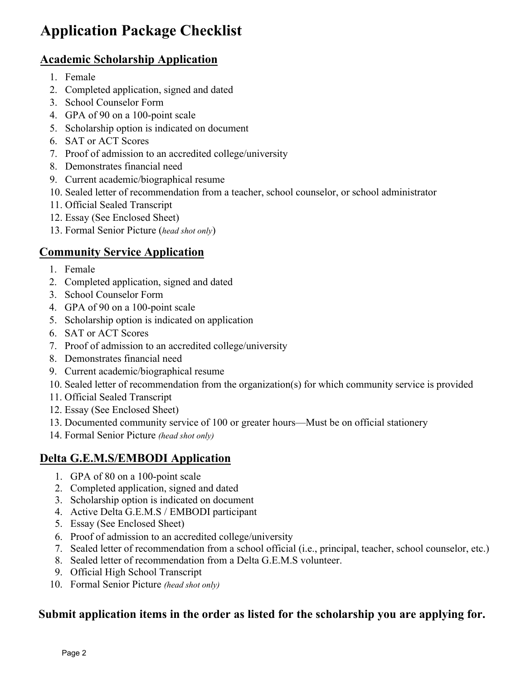# **Application Package Checklist**

# **Academic Scholarship Application**

- 1. Female
- 2. Completed application, signed and dated
- 3. School Counselor Form
- 4. GPA of 90 on a 100-point scale
- 5. Scholarship option is indicated on document
- 6. SAT or ACT Scores
- 7. Proof of admission to an accredited college/university
- 8. Demonstrates financial need
- 9. Current academic/biographical resume
- 10. Sealed letter of recommendation from a teacher, school counselor, or school administrator
- 11. Official Sealed Transcript
- 12. Essay (See Enclosed Sheet)
- 13. Formal Senior Picture (*head shot only*)

# **Community Service Application**

- 1. Female
- 2. Completed application, signed and dated
- 3. School Counselor Form
- 4. GPA of 90 on a 100-point scale
- 5. Scholarship option is indicated on application
- 6. SAT or ACT Scores
- 7. Proof of admission to an accredited college/university
- 8. Demonstrates financial need
- 9. Current academic/biographical resume
- 10. Sealed letter of recommendation from the organization(s) for which community service is provided
- 11. Official Sealed Transcript
- 12. Essay (See Enclosed Sheet)
- 13. Documented community service of 100 or greater hours—Must be on official stationery
- 14. Formal Senior Picture *(head shot only)*

# **Delta G.E.M.S/EMBODI Application**

- 1. GPA of 80 on a 100-point scale
- 2. Completed application, signed and dated
- 3. Scholarship option is indicated on document
- 4. Active Delta G.E.M.S / EMBODI participant
- 5. Essay (See Enclosed Sheet)
- 6. Proof of admission to an accredited college/university
- 7. Sealed letter of recommendation from a school official (i.e., principal, teacher, school counselor, etc.)
- 8. Sealed letter of recommendation from a Delta G.E.M.S volunteer.
- 9. Official High School Transcript
- 10. Formal Senior Picture *(head shot only)*

# **Submit application items in the order as listed for the scholarship you are applying for.**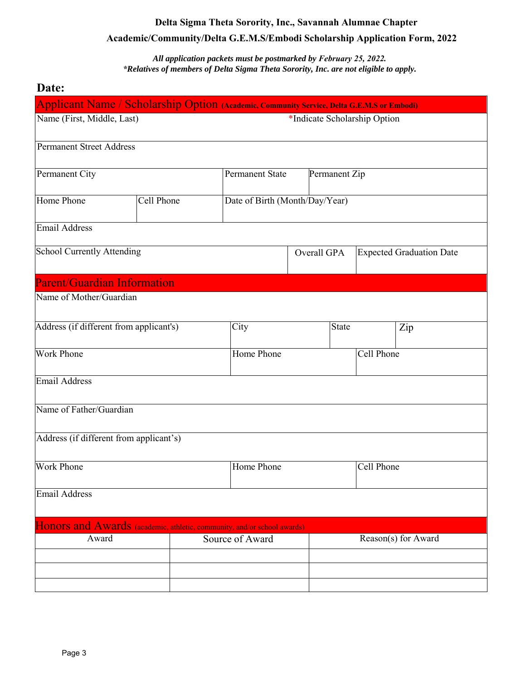#### **Delta Sigma Theta Sorority, Inc., Savannah Alumnae Chapter**

#### **Academic/Community/Delta G.E.M.S/Embodi Scholarship Application Form, 2022**

*All application packets must be postmarked by February 25, 2022. \*Relatives of members of Delta Sigma Theta Sorority, Inc. are not eligible to apply.*

# **Date:**

| Applicant Name / Scholarship Option (Academic, Community Service, Delta G.E.M.S or Embodi) |                              |  |                                         |  |                     |            |                                 |  |
|--------------------------------------------------------------------------------------------|------------------------------|--|-----------------------------------------|--|---------------------|------------|---------------------------------|--|
| Name (First, Middle, Last)                                                                 | *Indicate Scholarship Option |  |                                         |  |                     |            |                                 |  |
| <b>Permanent Street Address</b>                                                            |                              |  |                                         |  |                     |            |                                 |  |
|                                                                                            |                              |  |                                         |  |                     |            |                                 |  |
| Permanent City                                                                             |                              |  | <b>Permanent State</b><br>Permanent Zip |  |                     |            |                                 |  |
| Home Phone                                                                                 | Cell Phone                   |  | Date of Birth (Month/Day/Year)          |  |                     |            |                                 |  |
|                                                                                            |                              |  |                                         |  |                     |            |                                 |  |
| <b>Email Address</b>                                                                       |                              |  |                                         |  |                     |            |                                 |  |
| <b>School Currently Attending</b>                                                          |                              |  |                                         |  | Overall GPA         |            | <b>Expected Graduation Date</b> |  |
|                                                                                            |                              |  |                                         |  |                     |            |                                 |  |
| <b>Parent/Guardian Information</b><br>Name of Mother/Guardian                              |                              |  |                                         |  |                     |            |                                 |  |
|                                                                                            |                              |  |                                         |  |                     |            |                                 |  |
| Address (if different from applicant's)                                                    |                              |  | City                                    |  | State               |            | Zip                             |  |
|                                                                                            |                              |  |                                         |  |                     |            |                                 |  |
| <b>Work Phone</b>                                                                          |                              |  | Home Phone                              |  | Cell Phone          |            |                                 |  |
| <b>Email Address</b>                                                                       |                              |  |                                         |  |                     |            |                                 |  |
|                                                                                            |                              |  |                                         |  |                     |            |                                 |  |
| Name of Father/Guardian                                                                    |                              |  |                                         |  |                     |            |                                 |  |
| Address (if different from applicant's)                                                    |                              |  |                                         |  |                     |            |                                 |  |
|                                                                                            |                              |  |                                         |  |                     |            |                                 |  |
| <b>Work Phone</b>                                                                          |                              |  | Home Phone                              |  |                     | Cell Phone |                                 |  |
| <b>Email Address</b>                                                                       |                              |  |                                         |  |                     |            |                                 |  |
|                                                                                            |                              |  |                                         |  |                     |            |                                 |  |
| Honors and Awards (academic, athletic, community, and/or school awards)                    |                              |  |                                         |  |                     |            |                                 |  |
| Award                                                                                      |                              |  | Source of Award                         |  | Reason(s) for Award |            |                                 |  |
|                                                                                            |                              |  |                                         |  |                     |            |                                 |  |
|                                                                                            |                              |  |                                         |  |                     |            |                                 |  |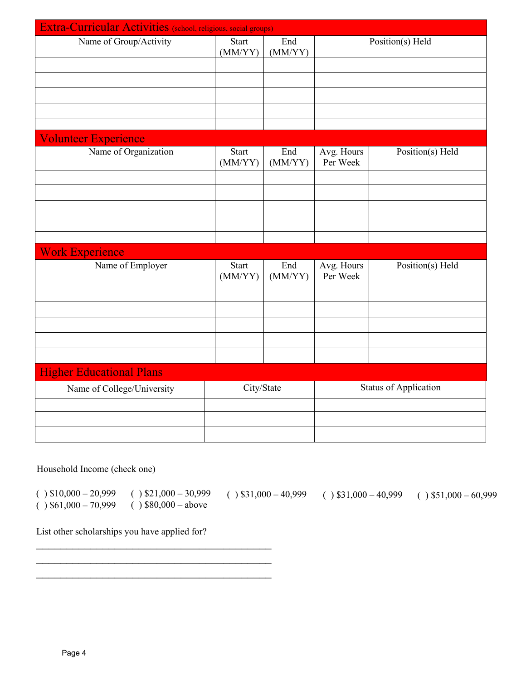| Extra-Curricular Activities (school, religious, social groups) |                         |                             |                              |                  |  |
|----------------------------------------------------------------|-------------------------|-----------------------------|------------------------------|------------------|--|
| Name of Group/Activity                                         | Start<br>(MM/YY)        | End<br>(MM/YY)              | Position(s) Held             |                  |  |
|                                                                |                         |                             |                              |                  |  |
|                                                                |                         |                             |                              |                  |  |
|                                                                |                         |                             |                              |                  |  |
|                                                                |                         |                             |                              |                  |  |
|                                                                |                         |                             |                              |                  |  |
| <b>Volunteer Experience</b>                                    |                         |                             |                              |                  |  |
| Name of Organization                                           | Start<br>(MM/YY)        | End<br>(MM/YY)              | Avg. Hours<br>Per Week       | Position(s) Held |  |
|                                                                |                         |                             |                              |                  |  |
|                                                                |                         |                             |                              |                  |  |
|                                                                |                         |                             |                              |                  |  |
|                                                                |                         |                             |                              |                  |  |
| <b>Work Experience</b>                                         |                         |                             |                              |                  |  |
| Name of Employer                                               | <b>Start</b><br>(MM/YY) | $\overline{End}$<br>(MM/YY) | Avg. Hours<br>Per Week       | Position(s) Held |  |
|                                                                |                         |                             |                              |                  |  |
|                                                                |                         |                             |                              |                  |  |
|                                                                |                         |                             |                              |                  |  |
|                                                                |                         |                             |                              |                  |  |
| <b>Higher Educational Plans</b>                                |                         |                             |                              |                  |  |
| Name of College/University                                     | City/State              |                             | <b>Status of Application</b> |                  |  |
|                                                                |                         |                             |                              |                  |  |
|                                                                |                         |                             |                              |                  |  |

#### Household Income (check one)

 $( )$  \$10,000 – 20,999  $( )$  \$61,000 – 70,999  $( )$  \$21,000 – 30,999  $( )$  \$80,000 – above ( )  $$31,000 - 40,999$  ( )  $$31,000 - 40,999$  ( )  $$51,000 - 60,999$ 

List other scholarships you have applied for?

\_\_\_\_\_\_\_\_\_\_\_\_\_\_\_\_\_\_\_\_\_\_\_\_\_\_\_\_\_\_\_\_\_\_\_\_\_\_\_ \_\_\_\_\_\_\_\_\_\_\_\_\_\_\_\_\_\_\_\_\_\_\_\_\_\_\_\_\_\_\_\_\_\_\_\_\_\_\_ \_\_\_\_\_\_\_\_\_\_\_\_\_\_\_\_\_\_\_\_\_\_\_\_\_\_\_\_\_\_\_\_\_\_\_\_\_\_\_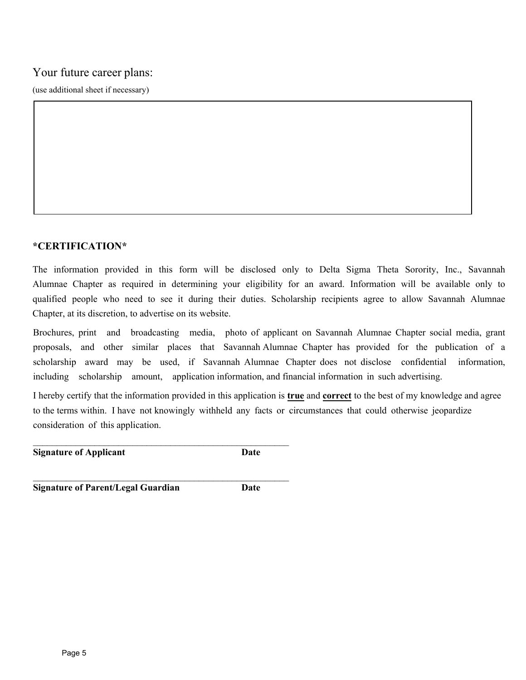# Your future career plans:

(use additional sheet if necessary)

#### **\*CERTIFICATION\***

The information provided in this form will be disclosed only to Delta Sigma Theta Sorority, Inc., Savannah Alumnae Chapter as required in determining your eligibility for an award. Information will be available only to qualified people who need to see it during their duties. Scholarship recipients agree to allow Savannah Alumnae Chapter, at its discretion, to advertise on its website.

Brochures, print and broadcasting media, photo of applicant on Savannah Alumnae Chapter social media, grant proposals, and other similar places that Savannah Alumnae Chapter has provided for the publication of a scholarship award may be used, if Savannah Alumnae Chapter does not disclose confidential information, including scholarship amount, application information, and financial information in such advertising.

I hereby certify that the information provided in this application is **true** and **correct** to the best of my knowledge and agree to the terms within. I have not knowingly withheld any facts or circumstances that could otherwise jeopardize consideration of this application.

**Signature of Applicant Date**

**Signature of Parent/Legal Guardian Date**

\_\_\_\_\_\_\_\_\_\_\_\_\_\_\_\_\_\_\_\_\_\_\_\_\_\_\_\_\_\_\_\_\_\_\_\_\_\_\_\_\_\_\_\_\_\_\_\_\_\_\_\_\_\_

\_\_\_\_\_\_\_\_\_\_\_\_\_\_\_\_\_\_\_\_\_\_\_\_\_\_\_\_\_\_\_\_\_\_\_\_\_\_\_\_\_\_\_\_\_\_\_\_\_\_\_\_\_\_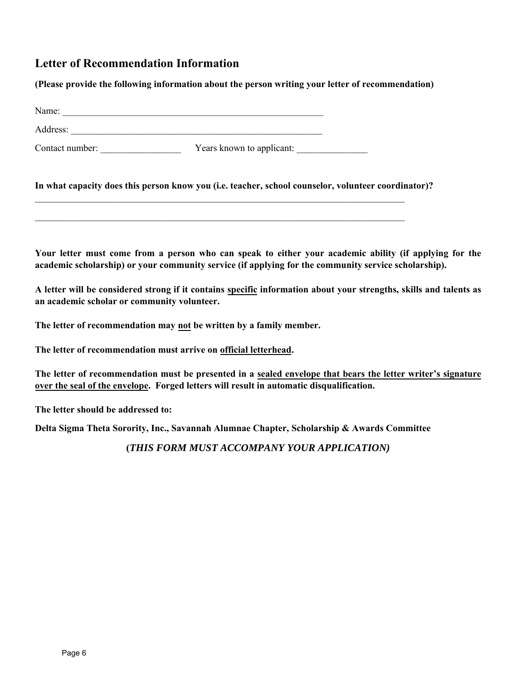# **Letter of Recommendation Information**

**(Please provide the following information about the person writing your letter of recommendation)** 

| Name:           |                           |  |
|-----------------|---------------------------|--|
| Address:        |                           |  |
| Contact number: | Years known to applicant: |  |

**In what capacity does this person know you (i.e. teacher, school counselor, volunteer coordinator)?** 

 $\_$  , and the set of the set of the set of the set of the set of the set of the set of the set of the set of the set of the set of the set of the set of the set of the set of the set of the set of the set of the set of th

 $\_$  , and the contribution of the contribution of the contribution of the contribution of  $\mathcal{L}_\text{max}$ 

**Your letter must come from a person who can speak to either your academic ability (if applying for the academic scholarship) or your community service (if applying for the community service scholarship).** 

**A letter will be considered strong if it contains specific information about your strengths, skills and talents as an academic scholar or community volunteer.** 

**The letter of recommendation may not be written by a family member.** 

**The letter of recommendation must arrive on official letterhead.** 

**The letter of recommendation must be presented in a sealed envelope that bears the letter writer's signature over the seal of the envelope. Forged letters will result in automatic disqualification.**

**The letter should be addressed to:** 

**Delta Sigma Theta Sorority, Inc., Savannah Alumnae Chapter, Scholarship & Awards Committee**

**(***THIS FORM MUST ACCOMPANY YOUR APPLICATION)*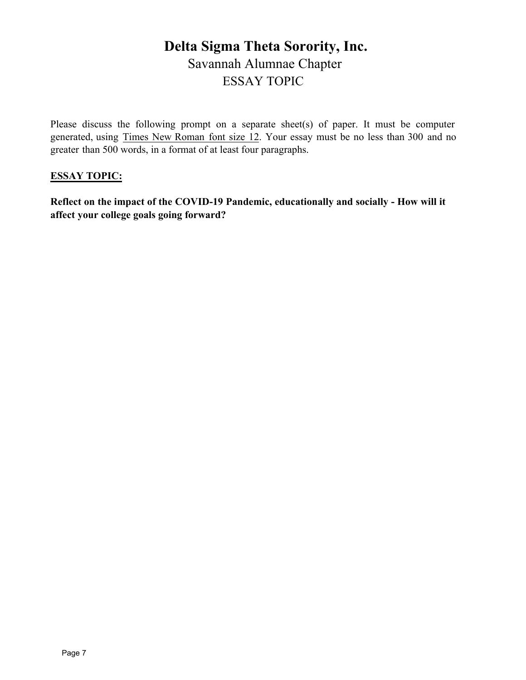# **Delta Sigma Theta Sorority, Inc.** Savannah Alumnae Chapter ESSAY TOPIC

Please discuss the following prompt on a separate sheet(s) of paper. It must be computer generated, using Times New Roman font size 12. Your essay must be no less than 300 and no greater than 500 words, in a format of at least four paragraphs.

#### **ESSAY TOPIC:**

**Reflect on the impact of the COVID-19 Pandemic, educationally and socially - How will it affect your college goals going forward?**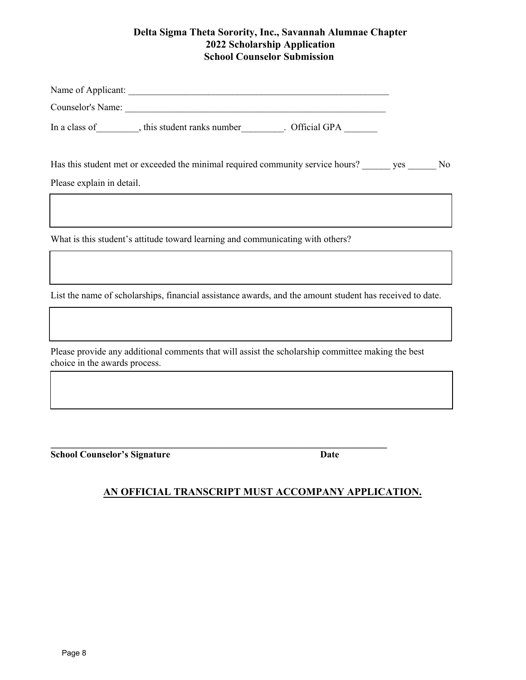#### **Delta Sigma Theta Sorority, Inc., Savannah Alumnae Chapter 2022 Scholarship Application School Counselor Submission**

| Name of Applicant: |                           |                     |  |
|--------------------|---------------------------|---------------------|--|
| Counselor's Name:  |                           |                     |  |
| In a class of      | this student ranks number | <b>Official GPA</b> |  |

Has this student met or exceeded the minimal required community service hours? \_\_\_\_\_\_ yes \_\_\_\_\_\_ No Please explain in detail.

What is this student's attitude toward learning and communicating with others?

List the name of scholarships, financial assistance awards, and the amount student has received to date.

Please provide any additional comments that will assist the scholarship committee making the best choice in the awards process.

 $\_$ 

**School Counselor's Signature Date**  Date

### **AN OFFICIAL TRANSCRIPT MUST ACCOMPANY APPLICATION.**